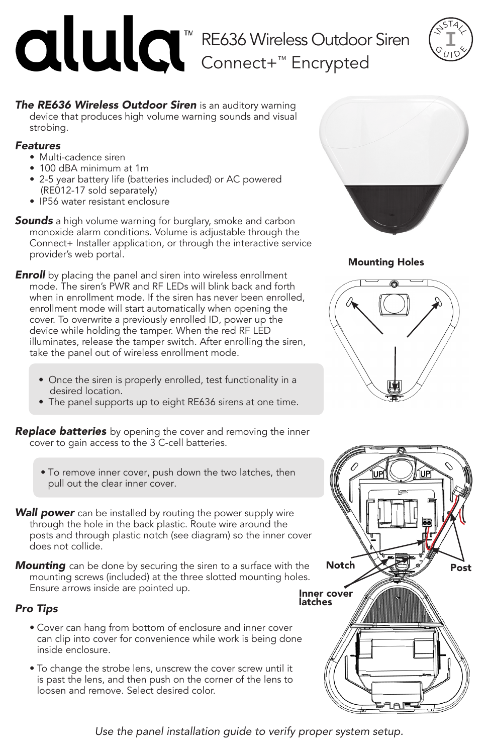# RE636 Wireless Outdoor Siren Connect+™ Encrypted



**The RE636 Wireless Outdoor Siren** is an auditory warning device that produces high volume warning sounds and visual strobing.

# *Features*

- Multi-cadence siren
- 100 dBA minimum at 1m
- 2-5 year battery life (batteries included) or AC powered (RE012-17 sold separately)
- IP56 water resistant enclosure
- *Sounds* a high volume warning for burglary, smoke and carbon monoxide alarm conditions. Volume is adjustable through the Connect+ Installer application, or through the interactive service provider's web portal.
- **Enroll** by placing the panel and siren into wireless enrollment mode. The siren's PWR and RF LEDs will blink back and forth when in enrollment mode. If the siren has never been enrolled, enrollment mode will start automatically when opening the cover. To overwrite a previously enrolled ID, power up the device while holding the tamper. When the red RF LED illuminates, release the tamper switch. After enrolling the siren, take the panel out of wireless enrollment mode.
	- Once the siren is properly enrolled, test functionality in a desired location.
	- The panel supports up to eight RE636 sirens at one time.

*Replace batteries* by opening the cover and removing the inner cover to gain access to the 3 C-cell batteries.

- To remove inner cover, push down the two latches, then pull out the clear inner cover.
- **Wall power** can be installed by routing the power supply wire through the hole in the back plastic. Route wire around the posts and through plastic notch (see diagram) so the inner cover does not collide.
- *Mounting* can be done by securing the siren to a surface with the mounting screws (included) at the three slotted mounting holes. Ensure arrows inside are pointed up.

# *Pro Tips*

- Cover can hang from bottom of enclosure and inner cover can clip into cover for convenience while work is being done inside enclosure.
- To change the strobe lens, unscrew the cover screw until it is past the lens, and then push on the corner of the lens to loosen and remove. Select desired color.



Mounting Holes





*Use the panel installation guide to verify proper system setup.*